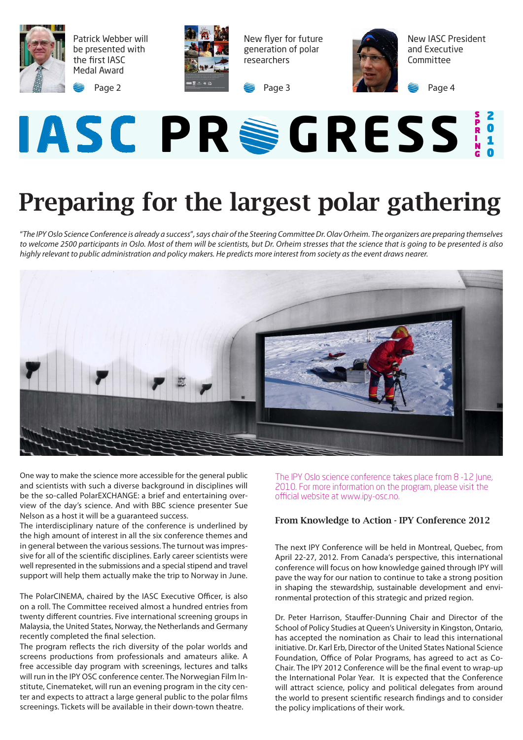

#### **IASC PRSGRESS** 0 1 0 R I N G

# Preparing for the largest polar gathering

''*The IPY Oslo Science Conference is already a success*''*, says chair of the Steering Committee Dr. Olav Orheim. The organizers are preparing themselves to welcome 2500 participants in Oslo. Most of them will be scientists, but Dr. Orheim stresses that the science that is going to be presented is also highly relevant to public administration and policy makers. He predicts more interest from society as the event draws nearer.* 



One way to make the science more accessible for the general public and scientists with such a diverse background in disciplines will be the so-called PolarEXCHANGE: a brief and entertaining overview of the day's science. And with BBC science presenter Sue Nelson as a host it will be a guaranteed success.

The interdisciplinary nature of the conference is underlined by the high amount of interest in all the six conference themes and in general between the various sessions. The turnout was impressive for all of the scientific disciplines. Early career scientists were well represented in the submissions and a special stipend and travel support will help them actually make the trip to Norway in June.

The PolarCINEMA, chaired by the IASC Executive Officer, is also on a roll. The Committee received almost a hundred entries from twenty different countries. Five international screening groups in Malaysia, the United States, Norway, the Netherlands and Germany recently completed the final selection.

The program reflects the rich diversity of the polar worlds and screens productions from professionals and amateurs alike. A free accessible day program with screenings, lectures and talks will run in the IPY OSC conference center. The Norwegian Film Institute, Cinemateket, will run an evening program in the city center and expects to attract a large general public to the polar films screenings. Tickets will be available in their down-town theatre.

The IPY Oslo science conference takes place from 8 -12 June, 2010. For more information on the program, please visit the official website at www.ipy-osc.no.

P

#### From Knowledge to Action - IPY Conference 2012

The next IPY Conference will be held in Montreal, Quebec, from April 22-27, 2012. From Canada's perspective, this international conference will focus on how knowledge gained through IPY will pave the way for our nation to continue to take a strong position in shaping the stewardship, sustainable development and environmental protection of this strategic and prized region.

Dr. Peter Harrison, Stauffer-Dunning Chair and Director of the School of Policy Studies at Queen's University in Kingston, Ontario, has accepted the nomination as Chair to lead this international initiative. Dr. Karl Erb, Director of the United States National Science Foundation, Office of Polar Programs, has agreed to act as Co-Chair. The IPY 2012 Conference will be the final event to wrap-up the International Polar Year. It is expected that the Conference will attract science, policy and political delegates from around the world to present scientific research findings and to consider the policy implications of their work.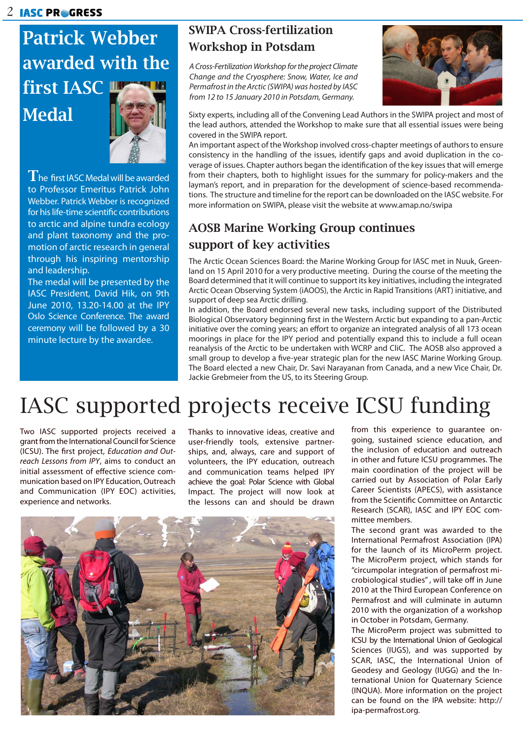# Patrick Webber awarded with the first IASC Medal



The first IASC Medal will be awarded to Professor Emeritus Patrick John Webber. Patrick Webber is recognized for his life-time scientific contributions to arctic and alpine tundra ecology and plant taxonomy and the promotion of arctic research in general through his inspiring mentorship and leadership.

The medal will be presented by the IASC President, David Hik, on 9th June 2010, 13.20-14.00 at the IPY Oslo Science Conference. The award ceremony will be followed by a 30 minute lecture by the awardee.

### SWIPA Cross-fertilization Workshop in Potsdam

*A Cross-Fertilization Workshop for the project Climate Change and the Cryosphere: Snow, Water, Ice and Permafrost in the Arctic (SWIPA) was hosted by IASC from 12 to 15 January 2010 in Potsdam, Germany.*



Sixty experts, including all of the Convening Lead Authors in the SWIPA project and most of the lead authors, attended the Workshop to make sure that all essential issues were being covered in the SWIPA report.

An important aspect of the Workshop involved cross-chapter meetings of authors to ensure consistency in the handling of the issues, identify gaps and avoid duplication in the coverage of issues. Chapter authors began the identification of the key issues that will emerge from their chapters, both to highlight issues for the summary for policy-makers and the layman's report, and in preparation for the development of science-based recommendations. The structure and timeline for the report can be downloaded on the IASC website. For more information on SWIPA, please visit the website at www.amap.no/swipa

## AOSB Marine Working Group continues support of key activities

The Arctic Ocean Sciences Board: the Marine Working Group for IASC met in Nuuk, Greenland on 15 April 2010 for a very productive meeting. During the course of the meeting the Board determined that it will continue to support its key initiatives, including the integrated Arctic Ocean Observing System (iAOOS), the Arctic in Rapid Transitions (ART) initiative, and support of deep sea Arctic drilling.

In addition, the Board endorsed several new tasks, including support of the Distributed Biological Observatory beginning first in the Western Arctic but expanding to a pan-Arctic initiative over the coming years; an effort to organize an integrated analysis of all 173 ocean moorings in place for the IPY period and potentially expand this to include a full ocean reanalysis of the Arctic to be undertaken with WCRP and CliC. The AOSB also approved a small group to develop a five-year strategic plan for the new IASC Marine Working Group. The Board elected a new Chair, Dr. Savi Narayanan from Canada, and a new Vice Chair, Dr. Jackie Grebmeier from the US, to its Steering Group.

# IASC supported projects receive ICSU funding

Two IASC supported projects received a grant from the International Council for Science (ICSU). The first project, *Education and Outreach Lessons from IPY*, aims to conduct an initial assessment of effective science communication based on IPY Education, Outreach and Communication (IPY EOC) activities, experience and networks.

Thanks to innovative ideas, creative and user-friendly tools, extensive partnerships, and, always, care and support of volunteers, the IPY education, outreach and communication teams helped IPY achieve the goal: Polar Science with Global Impact. The project will now look at the lessons can and should be drawn



from this experience to guarantee ongoing, sustained science education, and the inclusion of education and outreach in other and future ICSU programmes. The main coordination of the project will be carried out by Association of Polar Early Career Scientists (APECS), with assistance from the Scientific Committee on Antarctic Research (SCAR), IASC and IPY EOC committee members.

The second grant was awarded to the International Permafrost Association (IPA) for the launch of its MicroPerm project. The MicroPerm project, which stands for "circumpolar integration of permafrost microbiological studies" , will take off in June 2010 at the Third European Conference on Permafrost and will culminate in autumn 2010 with the organization of a workshop in October in Potsdam, Germany.

The MicroPerm project was submitted to ICSU by the International Union of Geological Sciences (IUGS), and was supported by SCAR, IASC, the International Union of Geodesy and Geology (IUGG) and the International Union for Quaternary Science (INQUA). More information on the project can be found on the IPA website: http:// ipa-permafrost.org.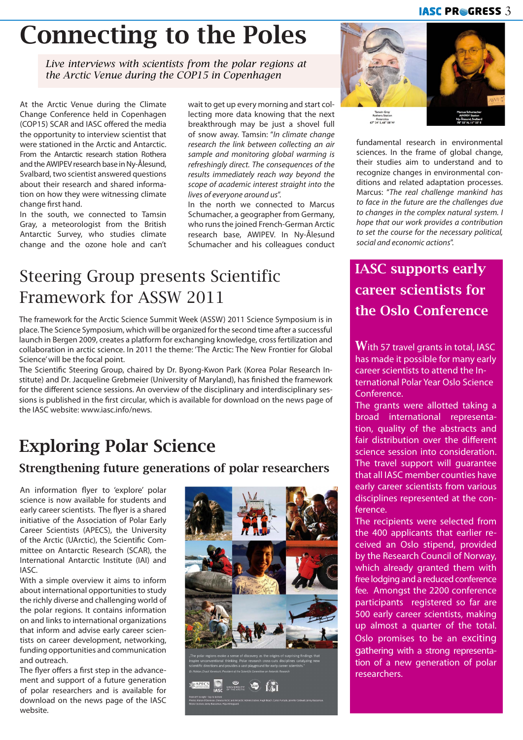#### **IASC PRSGRESS 3**

# Connecting to the Poles

*Live interviews with scientists from the polar regions at the Arctic Venue during the COP15 in Copenhagen*

At the Arctic Venue during the Climate Change Conference held in Copenhagen (COP15) SCAR and IASC offered the media the opportunity to interview scientist that were stationed in the Arctic and Antarctic. From the Antarctic research station Rothera and the AWIPEV research base in Ny-Ålesund, Svalbard, two scientist answered questions about their research and shared information on how they were witnessing climate change first hand.

In the south, we connected to Tamsin Gray, a meteorologist from the British Antarctic Survey, who studies climate change and the ozone hole and can't

wait to get up every morning and start collecting more data knowing that the next breakthrough may be just a shovel full of snow away. Tamsin: ''*In climate change research the link between collecting an air sample and monitoring global warming is refreshingly direct. The consequences of the results immediately reach way beyond the scope of academic interest straight into the lives of everyone around us*''.

In the north we connected to Marcus Schumacher, a geographer from Germany, who runs the joined French-German Arctic research base, AWIPEV. In Ny-Ålesund Schumacher and his colleagues conduct

## Steering Group presents Scientific Framework for ASSW 2011

The framework for the Arctic Science Summit Week (ASSW) 2011 Science Symposium is in place. The Science Symposium, which will be organized for the second time after a successful launch in Bergen 2009, creates a platform for exchanging knowledge, cross fertilization and collaboration in arctic science. In 2011 the theme: 'The Arctic: The New Frontier for Global Science' will be the focal point.

The Scientific Steering Group, chaired by Dr. Byong-Kwon Park (Korea Polar Research Institute) and Dr. Jacqueline Grebmeier (University of Maryland), has finished the framework for the different science sessions. An overview of the disciplinary and interdisciplinary sessions is published in the first circular, which is available for download on the news page of the IASC website: www.iasc.info/news.

# Exploring Polar Science

#### Strengthening future generations of polar researchers

An information flyer to 'explore' polar science is now available for students and early career scientists. The flyer is a shared initiative of the Association of Polar Early Career Scientists (APECS), the University of the Arctic (UArctic), the Scientific Committee on Antarctic Research (SCAR), the International Antarctic Institute (IAI) and IASC.

With a simple overview it aims to inform about international opportunities to study the richly diverse and challenging world of the polar regions. It contains information on and links to international organizations that inform and advise early career scientists on career development, networking, funding opportunities and communication and outreach.

The flyer offers a first step in the advancement and support of a future generation of polar researchers and is available for download on the news page of the IASC website.





fundamental research in environmental sciences. In the frame of global change, their studies aim to understand and to recognize changes in environmental conditions and related adaptation processes. Marcus: ''*The real challenge mankind has to face in the future are the challenges due to changes in the complex natural system. I hope that our work provides a contribution to set the course for the necessary political, social and economic actions*''.

## IASC supports early career scientists for the Oslo Conference

 $\mathbf W$ ith 57 travel grants in total, IASC has made it possible for many early career scientists to attend the International Polar Year Oslo Science Conference.

The grants were allotted taking a broad international representation, quality of the abstracts and fair distribution over the different science session into consideration. The travel support will guarantee that all IASC member counties have early career scientists from various disciplines represented at the conference.

The recipients were selected from the 400 applicants that earlier received an Oslo stipend, provided by the Research Council of Norway, which already granted them with free lodging and a reduced conference fee. Amongst the 2200 conference participants registered so far are 500 early career scientists, making up almost a quarter of the total. Oslo promises to be an exciting gathering with a strong representation of a new generation of polar researchers.